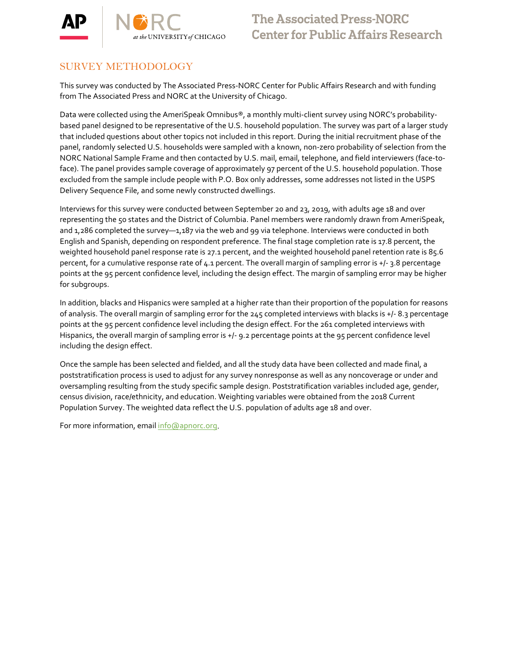

**The Associated Press-NORC Center for Public Affairs Research** 

## SURVEY METHODOLOGY

This survey was conducted by The Associated Press-NORC Center for Public Affairs Research and with funding from The Associated Press and NORC at the University of Chicago.

Data were collected using the AmeriSpeak Omnibus®, a monthly multi-client survey using NORC's probabilitybased panel designed to be representative of the U.S. household population. The survey was part of a larger study that included questions about other topics not included in this report. During the initial recruitment phase of the panel, randomly selected U.S. households were sampled with a known, non-zero probability of selection from the NORC National Sample Frame and then contacted by U.S. mail, email, telephone, and field interviewers (face-toface). The panel provides sample coverage of approximately 97 percent of the U.S. household population. Those excluded from the sample include people with P.O. Box only addresses, some addresses not listed in the USPS Delivery Sequence File, and some newly constructed dwellings.

Interviews for this survey were conducted between September 20 and 23, 2019, with adults age 18 and over representing the 50 states and the District of Columbia. Panel members were randomly drawn from AmeriSpeak, and 1,286 completed the survey-1,187 via the web and 99 via telephone. Interviews were conducted in both English and Spanish, depending on respondent preference. The final stage completion rate is 17.8 percent, the weighted household panel response rate is 27.1 percent, and the weighted household panel retention rate is 85.6 percent, for a cumulative response rate of  $4.1$  percent. The overall margin of sampling error is  $+/-$  3.8 percentage points at the 95 percent confidence level, including the design effect. The margin of sampling error may be higher for subgroups.

In addition, blacks and Hispanics were sampled at a higher rate than their proportion of the population for reasons of analysis. The overall margin of sampling error for the 245 completed interviews with blacks is +/- 8.3 percentage points at the 95 percent confidence level including the design effect. For the 261 completed interviews with Hispanics, the overall margin of sampling error is +/- 9.2 percentage points at the 95 percent confidence level including the design effect.

Once the sample has been selected and fielded, and all the study data have been collected and made final, a poststratification process is used to adjust for any survey nonresponse as well as any noncoverage or under and oversampling resulting from the study specific sample design. Poststratification variables included age, gender, census division, race/ethnicity, and education. Weighting variables were obtained from the 2018 Current Population Survey. The weighted data reflect the U.S. population of adults age 18 and over.

For more information, emai[l info@apnorc.org.](mailto:info@apnorc.org)